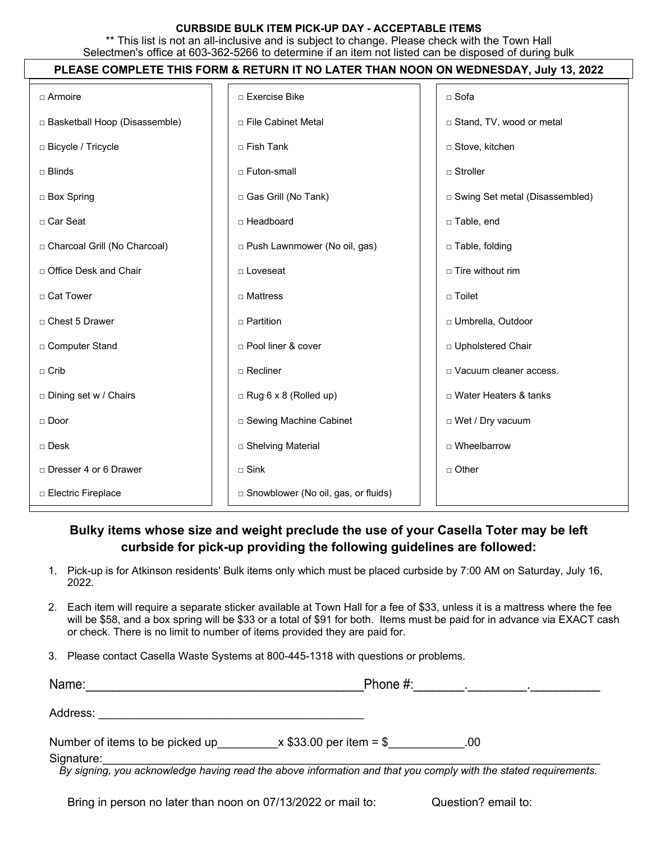## **CURBSIDE BULK ITEM PICK-UP DAY - ACCEPTABLE ITEMS**

\*\* This list is not an all-inclusive and is subject to change. Please check with the Town Hall Selectmen's office at 603-362-5266 to determine if an item not listed can be disposed of during bulk

## **PLEASE COMPLETE THIS FORM & RETURN IT NO LATER THAN NOON ON WEDNESDAY, July 13, 2022**

| $\Box$ Armoire                  | □ Exercise Bike                       | □ Sofa                           |
|---------------------------------|---------------------------------------|----------------------------------|
| □ Basketball Hoop (Disassemble) | □ File Cabinet Metal                  | □ Stand, TV, wood or metal       |
| □ Bicycle / Tricycle            | □ Fish Tank                           | □ Stove, kitchen                 |
| $\sqcap$ Blinds                 | □ Futon-small                         | $\sqcap$ Stroller                |
| □ Box Spring                    | □ Gas Grill (No Tank)                 | □ Swing Set metal (Disassembled) |
| □ Car Seat                      | $\Box$ Headboard                      | □ Table, end                     |
| □ Charcoal Grill (No Charcoal)  | □ Push Lawnmower (No oil, gas)        | □ Table, folding                 |
| □ Office Desk and Chair         | □ Loveseat                            | $\Box$ Tire without rim          |
| □ Cat Tower                     | $\Box$ Mattress                       | $\Box$ Toilet                    |
| □ Chest 5 Drawer                | $\Box$ Partition                      | □ Umbrella, Outdoor              |
| □ Computer Stand                | □ Pool liner & cover                  | □ Upholstered Chair              |
| $\Box$ Crib                     | $\Box$ Recliner                       | D Vacuum cleaner access.         |
| □ Dining set w / Chairs         | $\Box$ Rug 6 x 8 (Rolled up)          | □ Water Heaters & tanks          |
| $\Box$ Door                     | □ Sewing Machine Cabinet              | □ Wet / Dry vacuum               |
| $\Box$ Desk                     | □ Shelving Material                   | $\Box$ Wheelbarrow               |
| □ Dresser 4 or 6 Drawer         | $\Box$ Sink                           | $\Box$ Other                     |
| □ Electric Fireplace            | □ Snowblower (No oil, gas, or fluids) |                                  |

## **Bulky items whose size and weight preclude the use of your Casella Toter may be left curbside for pick-up providing the following guidelines are followed:**

- 1. Pick-up is for Atkinson residents' Bulk items only which must be placed curbside by 7:00 AM on Saturday, July 16, 2022.
- 2. Each item will require a separate sticker available at Town Hall for a fee of \$33, unless it is a mattress where the fee will be \$58, and a box spring will be \$33 or a total of \$91 for both. Items must be paid for in advance via EXACT cash or check. There is no limit to number of items provided they are paid for.
- 3. Please contact Casella Waste Systems at 800-445-1318 with questions or problems.

| Name:                                                                                                                         | Phone $#$ :              |     |  |
|-------------------------------------------------------------------------------------------------------------------------------|--------------------------|-----|--|
| Address:                                                                                                                      |                          |     |  |
| Number of items to be picked up                                                                                               | $x $33.00$ per item = \$ | .00 |  |
| Signature:<br>By signing, you acknowledge having read the above information and that you comply with the stated requirements. |                          |     |  |

*By signing, you acknowledge having read the above information and that you comply with the stated requirements.*

Bring in person no later than noon on 07/13/2022 or mail to: Question? email to: